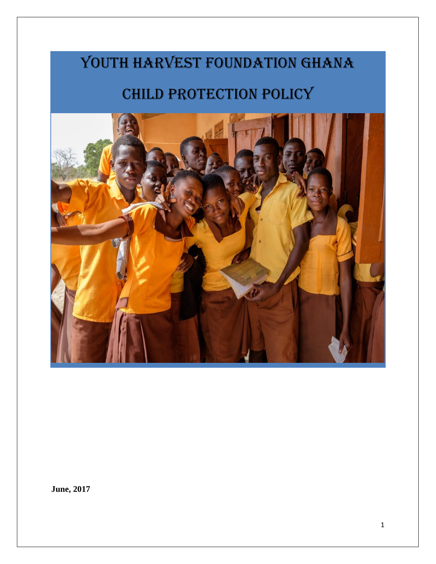# YOUTH HARVEST FOUNDATION GHANA

## CHILD PROTECTION POLICY



**June, 2017**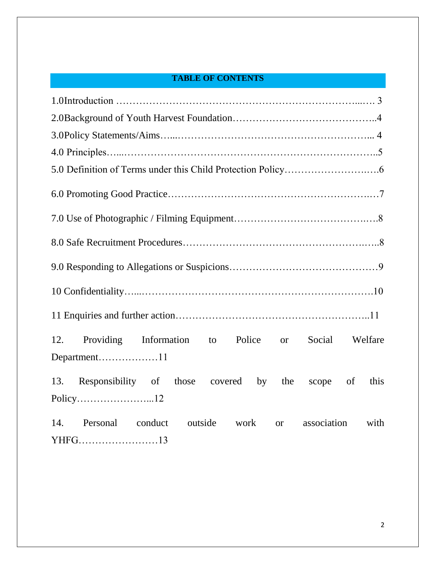## **TABLE OF CONTENTS**

| 12.<br>Providing Information to Police or<br>Social Welfare          |
|----------------------------------------------------------------------|
| Department11                                                         |
| 13. Responsibility of those covered by the<br>scope of<br>this       |
|                                                                      |
| 14. Personal conduct<br>outside work<br>association<br>with<br>or or |
|                                                                      |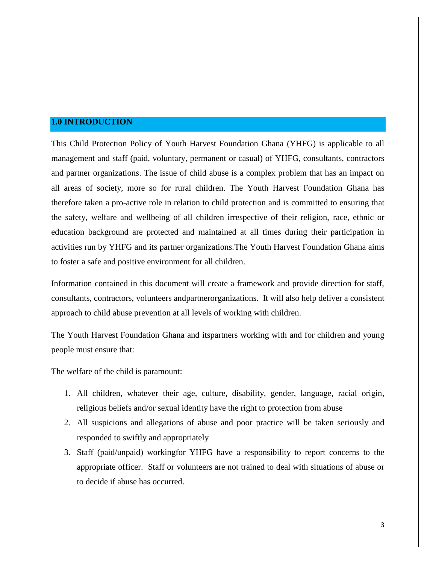#### **1.0 INTRODUCTION**

This Child Protection Policy of Youth Harvest Foundation Ghana (YHFG) is applicable to all management and staff (paid, voluntary, permanent or casual) of YHFG, consultants, contractors and partner organizations. The issue of child abuse is a complex problem that has an impact on all areas of society, more so for rural children. The Youth Harvest Foundation Ghana has therefore taken a pro-active role in relation to child protection and is committed to ensuring that the safety, welfare and wellbeing of all children irrespective of their religion, race, ethnic or education background are protected and maintained at all times during their participation in activities run by YHFG and its partner organizations.The Youth Harvest Foundation Ghana aims to foster a safe and positive environment for all children.

Information contained in this document will create a framework and provide direction for staff, consultants, contractors, volunteers andpartnerorganizations. It will also help deliver a consistent approach to child abuse prevention at all levels of working with children.

The Youth Harvest Foundation Ghana and itspartners working with and for children and young people must ensure that:

The welfare of the child is paramount:

- 1. All children, whatever their age, culture, disability, gender, language, racial origin, religious beliefs and/or sexual identity have the right to protection from abuse
- 2. All suspicions and allegations of abuse and poor practice will be taken seriously and responded to swiftly and appropriately
- 3. Staff (paid/unpaid) workingfor YHFG have a responsibility to report concerns to the appropriate officer. Staff or volunteers are not trained to deal with situations of abuse or to decide if abuse has occurred.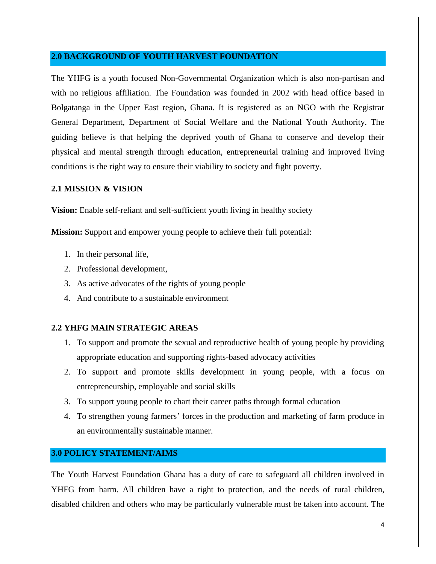#### **2.0 BACKGROUND OF YOUTH HARVEST FOUNDATION**

The YHFG is a youth focused Non-Governmental Organization which is also non-partisan and with no religious affiliation. The Foundation was founded in 2002 with head office based in Bolgatanga in the Upper East region, Ghana. It is registered as an NGO with the Registrar General Department, Department of Social Welfare and the National Youth Authority. The guiding believe is that helping the deprived youth of Ghana to conserve and develop their physical and mental strength through education, entrepreneurial training and improved living conditions is the right way to ensure their viability to society and fight poverty.

#### **2.1 MISSION & VISION**

**Vision:** Enable self-reliant and self-sufficient youth living in healthy society

**Mission:** Support and empower young people to achieve their full potential:

- 1. In their personal life,
- 2. Professional development,
- 3. As active advocates of the rights of young people
- 4. And contribute to a sustainable environment

#### **2.2 YHFG MAIN STRATEGIC AREAS**

- 1. To support and promote the sexual and reproductive health of young people by providing appropriate education and supporting rights-based advocacy activities
- 2. To support and promote skills development in young people, with a focus on entrepreneurship, employable and social skills
- 3. To support young people to chart their career paths through formal education
- 4. To strengthen young farmers' forces in the production and marketing of farm produce in an environmentally sustainable manner.

#### **3.0 POLICY STATEMENT/AIMS**

The Youth Harvest Foundation Ghana has a duty of care to safeguard all children involved in YHFG from harm. All children have a right to protection, and the needs of rural children, disabled children and others who may be particularly vulnerable must be taken into account. The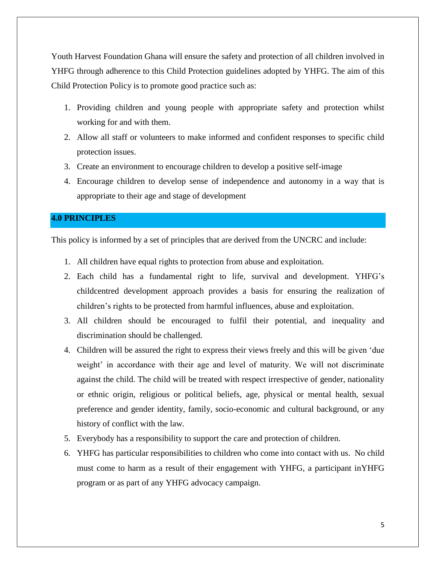Youth Harvest Foundation Ghana will ensure the safety and protection of all children involved in YHFG through adherence to this Child Protection guidelines adopted by YHFG. The aim of this Child Protection Policy is to promote good practice such as:

- 1. Providing children and young people with appropriate safety and protection whilst working for and with them.
- 2. Allow all staff or volunteers to make informed and confident responses to specific child protection issues.
- 3. Create an environment to encourage children to develop a positive self-image
- 4. Encourage children to develop sense of independence and autonomy in a way that is appropriate to their age and stage of development

#### **4.0 PRINCIPLES**

This policy is informed by a set of principles that are derived from the UNCRC and include:

- 1. All children have equal rights to protection from abuse and exploitation.
- 2. Each child has a fundamental right to life, survival and development. YHFG's childcentred development approach provides a basis for ensuring the realization of children's rights to be protected from harmful influences, abuse and exploitation.
- 3. All children should be encouraged to fulfil their potential, and inequality and discrimination should be challenged.
- 4. Children will be assured the right to express their views freely and this will be given 'due weight' in accordance with their age and level of maturity. We will not discriminate against the child. The child will be treated with respect irrespective of gender, nationality or ethnic origin, religious or political beliefs, age, physical or mental health, sexual preference and gender identity, family, socio-economic and cultural background, or any history of conflict with the law.
- 5. Everybody has a responsibility to support the care and protection of children.
- 6. YHFG has particular responsibilities to children who come into contact with us. No child must come to harm as a result of their engagement with YHFG, a participant inYHFG program or as part of any YHFG advocacy campaign.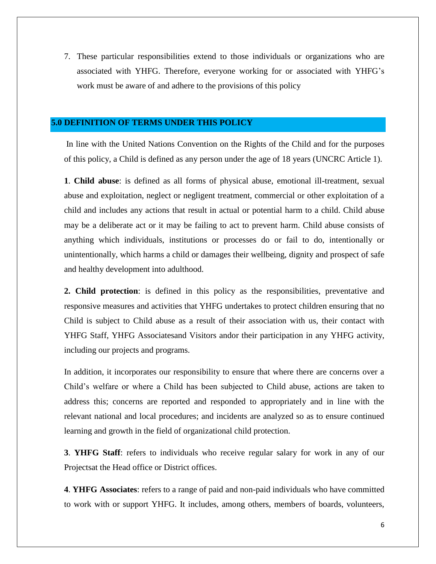7. These particular responsibilities extend to those individuals or organizations who are associated with YHFG. Therefore, everyone working for or associated with YHFG's work must be aware of and adhere to the provisions of this policy

#### **5.0 DEFINITION OF TERMS UNDER THIS POLICY**

In line with the United Nations Convention on the Rights of the Child and for the purposes of this policy, a Child is defined as any person under the age of 18 years (UNCRC Article 1).

**1**. **Child abuse**: is defined as all forms of physical abuse, emotional ill-treatment, sexual abuse and exploitation, neglect or negligent treatment, commercial or other exploitation of a child and includes any actions that result in actual or potential harm to a child. Child abuse may be a deliberate act or it may be failing to act to prevent harm. Child abuse consists of anything which individuals, institutions or processes do or fail to do, intentionally or unintentionally, which harms a child or damages their wellbeing, dignity and prospect of safe and healthy development into adulthood.

**2. Child protection**: is defined in this policy as the responsibilities, preventative and responsive measures and activities that YHFG undertakes to protect children ensuring that no Child is subject to Child abuse as a result of their association with us, their contact with YHFG Staff, YHFG Associatesand Visitors andor their participation in any YHFG activity, including our projects and programs.

In addition, it incorporates our responsibility to ensure that where there are concerns over a Child's welfare or where a Child has been subjected to Child abuse, actions are taken to address this; concerns are reported and responded to appropriately and in line with the relevant national and local procedures; and incidents are analyzed so as to ensure continued learning and growth in the field of organizational child protection.

**3**. **YHFG Staff**: refers to individuals who receive regular salary for work in any of our Projectsat the Head office or District offices.

**4**. **YHFG Associates**: refers to a range of paid and non-paid individuals who have committed to work with or support YHFG. It includes, among others, members of boards, volunteers,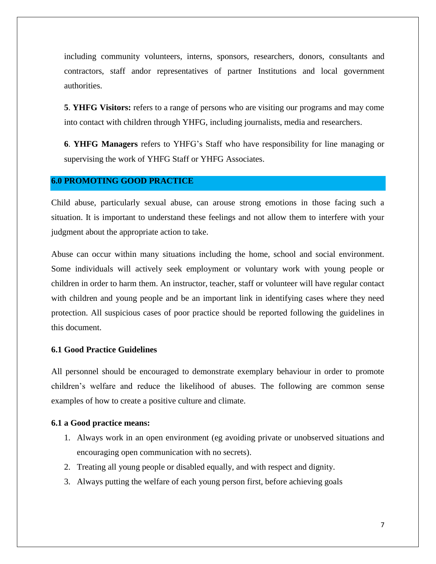including community volunteers, interns, sponsors, researchers, donors, consultants and contractors, staff andor representatives of partner Institutions and local government authorities.

**5**. **YHFG Visitors:** refers to a range of persons who are visiting our programs and may come into contact with children through YHFG, including journalists, media and researchers.

**6**. **YHFG Managers** refers to YHFG's Staff who have responsibility for line managing or supervising the work of YHFG Staff or YHFG Associates.

### **6.0 PROMOTING GOOD PRACTICE**

Child abuse, particularly sexual abuse, can arouse strong emotions in those facing such a situation. It is important to understand these feelings and not allow them to interfere with your judgment about the appropriate action to take.

Abuse can occur within many situations including the home, school and social environment. Some individuals will actively seek employment or voluntary work with young people or children in order to harm them. An instructor, teacher, staff or volunteer will have regular contact with children and young people and be an important link in identifying cases where they need protection. All suspicious cases of poor practice should be reported following the guidelines in this document.

#### **6.1 Good Practice Guidelines**

All personnel should be encouraged to demonstrate exemplary behaviour in order to promote children's welfare and reduce the likelihood of abuses. The following are common sense examples of how to create a positive culture and climate.

#### **6.1 a Good practice means:**

- 1. Always work in an open environment (eg avoiding private or unobserved situations and encouraging open communication with no secrets).
- 2. Treating all young people or disabled equally, and with respect and dignity.
- 3. Always putting the welfare of each young person first, before achieving goals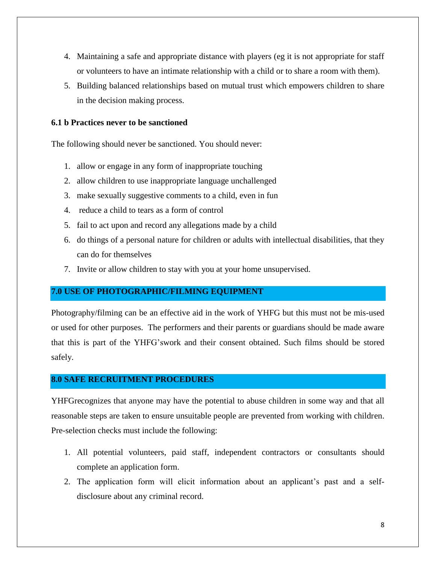- 4. Maintaining a safe and appropriate distance with players (eg it is not appropriate for staff or volunteers to have an intimate relationship with a child or to share a room with them).
- 5. Building balanced relationships based on mutual trust which empowers children to share in the decision making process.

#### **6.1 b Practices never to be sanctioned**

The following should never be sanctioned. You should never:

- 1. allow or engage in any form of inappropriate touching
- 2. allow children to use inappropriate language unchallenged
- 3. make sexually suggestive comments to a child, even in fun
- 4. reduce a child to tears as a form of control
- 5. fail to act upon and record any allegations made by a child
- 6. do things of a personal nature for children or adults with intellectual disabilities, that they can do for themselves
- 7. Invite or allow children to stay with you at your home unsupervised.

#### **7.0 USE OF PHOTOGRAPHIC/FILMING EQUIPMENT**

Photography/filming can be an effective aid in the work of YHFG but this must not be mis-used or used for other purposes. The performers and their parents or guardians should be made aware that this is part of the YHFG'swork and their consent obtained. Such films should be stored safely.

#### **8.0 SAFE RECRUITMENT PROCEDURES**

YHFGrecognizes that anyone may have the potential to abuse children in some way and that all reasonable steps are taken to ensure unsuitable people are prevented from working with children. Pre-selection checks must include the following:

- 1. All potential volunteers, paid staff, independent contractors or consultants should complete an application form.
- 2. The application form will elicit information about an applicant's past and a selfdisclosure about any criminal record.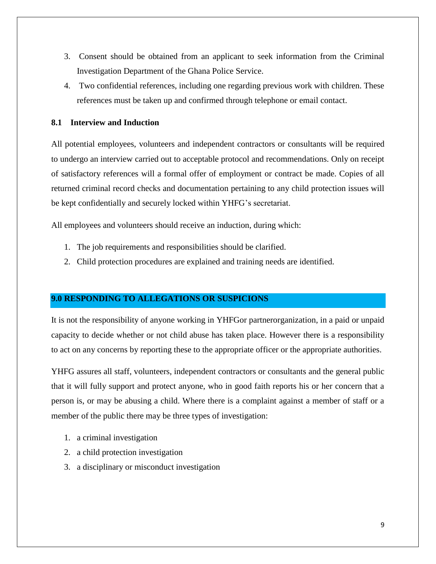- 3. Consent should be obtained from an applicant to seek information from the Criminal Investigation Department of the Ghana Police Service.
- 4. Two confidential references, including one regarding previous work with children. These references must be taken up and confirmed through telephone or email contact.

#### **8.1 Interview and Induction**

All potential employees, volunteers and independent contractors or consultants will be required to undergo an interview carried out to acceptable protocol and recommendations. Only on receipt of satisfactory references will a formal offer of employment or contract be made. Copies of all returned criminal record checks and documentation pertaining to any child protection issues will be kept confidentially and securely locked within YHFG's secretariat.

All employees and volunteers should receive an induction, during which:

- 1. The job requirements and responsibilities should be clarified.
- 2. Child protection procedures are explained and training needs are identified.

#### **9.0 RESPONDING TO ALLEGATIONS OR SUSPICIONS**

It is not the responsibility of anyone working in YHFGor partnerorganization, in a paid or unpaid capacity to decide whether or not child abuse has taken place. However there is a responsibility to act on any concerns by reporting these to the appropriate officer or the appropriate authorities.

YHFG assures all staff, volunteers, independent contractors or consultants and the general public that it will fully support and protect anyone, who in good faith reports his or her concern that a person is, or may be abusing a child. Where there is a complaint against a member of staff or a member of the public there may be three types of investigation:

- 1. a criminal investigation
- 2. a child protection investigation
- 3. a disciplinary or misconduct investigation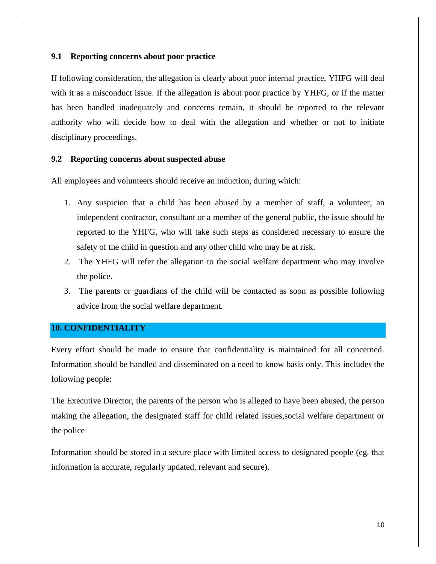#### **9.1 Reporting concerns about poor practice**

If following consideration, the allegation is clearly about poor internal practice, YHFG will deal with it as a misconduct issue. If the allegation is about poor practice by YHFG, or if the matter has been handled inadequately and concerns remain, it should be reported to the relevant authority who will decide how to deal with the allegation and whether or not to initiate disciplinary proceedings.

#### **9.2 Reporting concerns about suspected abuse**

All employees and volunteers should receive an induction, during which:

- 1. Any suspicion that a child has been abused by a member of staff, a volunteer, an independent contractor, consultant or a member of the general public, the issue should be reported to the YHFG, who will take such steps as considered necessary to ensure the safety of the child in question and any other child who may be at risk.
- 2. The YHFG will refer the allegation to the social welfare department who may involve the police.
- 3. The parents or guardians of the child will be contacted as soon as possible following advice from the social welfare department.

#### **10. CONFIDENTIALITY**

Every effort should be made to ensure that confidentiality is maintained for all concerned. Information should be handled and disseminated on a need to know basis only. This includes the following people:

The Executive Director, the parents of the person who is alleged to have been abused, the person making the allegation, the designated staff for child related issues,social welfare department or the police

Information should be stored in a secure place with limited access to designated people (eg. that information is accurate, regularly updated, relevant and secure).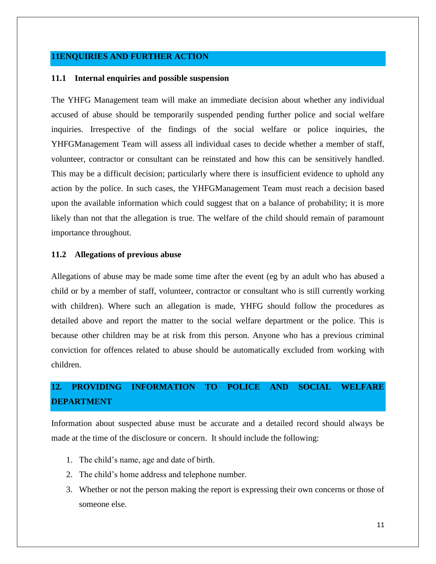#### **11ENQUIRIES AND FURTHER ACTION**

#### **11.1 Internal enquiries and possible suspension**

The YHFG Management team will make an immediate decision about whether any individual accused of abuse should be temporarily suspended pending further police and social welfare inquiries. Irrespective of the findings of the social welfare or police inquiries, the YHFGManagement Team will assess all individual cases to decide whether a member of staff, volunteer, contractor or consultant can be reinstated and how this can be sensitively handled. This may be a difficult decision; particularly where there is insufficient evidence to uphold any action by the police. In such cases, the YHFGManagement Team must reach a decision based upon the available information which could suggest that on a balance of probability; it is more likely than not that the allegation is true. The welfare of the child should remain of paramount importance throughout.

#### **11.2 Allegations of previous abuse**

Allegations of abuse may be made some time after the event (eg by an adult who has abused a child or by a member of staff, volunteer, contractor or consultant who is still currently working with children). Where such an allegation is made, YHFG should follow the procedures as detailed above and report the matter to the social welfare department or the police. This is because other children may be at risk from this person. Anyone who has a previous criminal conviction for offences related to abuse should be automatically excluded from working with children.

## **12. PROVIDING INFORMATION TO POLICE AND SOCIAL WELFARE DEPARTMENT**

Information about suspected abuse must be accurate and a detailed record should always be made at the time of the disclosure or concern. It should include the following:

- 1. The child's name, age and date of birth.
- 2. The child's home address and telephone number.
- 3. Whether or not the person making the report is expressing their own concerns or those of someone else.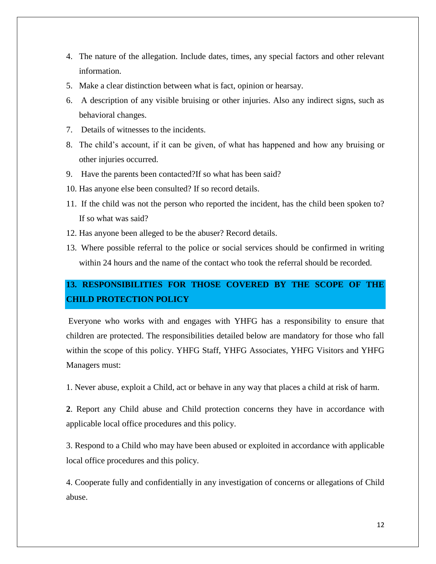- 4. The nature of the allegation. Include dates, times, any special factors and other relevant information.
- 5. Make a clear distinction between what is fact, opinion or hearsay.
- 6. A description of any visible bruising or other injuries. Also any indirect signs, such as behavioral changes.
- 7. Details of witnesses to the incidents.
- 8. The child's account, if it can be given, of what has happened and how any bruising or other injuries occurred.
- 9. Have the parents been contacted?If so what has been said?
- 10. Has anyone else been consulted? If so record details.
- 11. If the child was not the person who reported the incident, has the child been spoken to? If so what was said?
- 12. Has anyone been alleged to be the abuser? Record details.
- 13. Where possible referral to the police or social services should be confirmed in writing within 24 hours and the name of the contact who took the referral should be recorded.

## **13. RESPONSIBILITIES FOR THOSE COVERED BY THE SCOPE OF THE CHILD PROTECTION POLICY**

Everyone who works with and engages with YHFG has a responsibility to ensure that children are protected. The responsibilities detailed below are mandatory for those who fall within the scope of this policy. YHFG Staff, YHFG Associates, YHFG Visitors and YHFG Managers must:

1. Never abuse, exploit a Child, act or behave in any way that places a child at risk of harm.

**2**. Report any Child abuse and Child protection concerns they have in accordance with applicable local office procedures and this policy.

3. Respond to a Child who may have been abused or exploited in accordance with applicable local office procedures and this policy.

4. Cooperate fully and confidentially in any investigation of concerns or allegations of Child abuse.